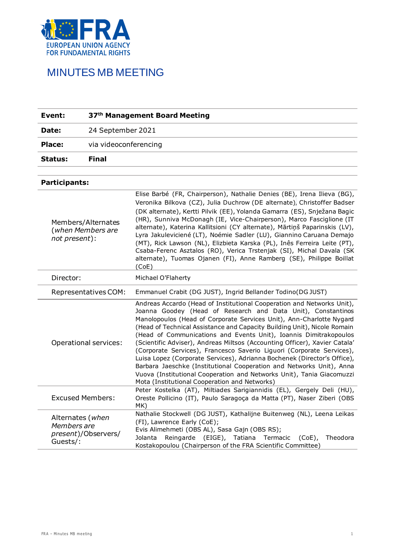

| Event:                                      |                                         | 37th Management Board Meeting                                                                                                                                                                                                                                                                                                                                                                                                                                                                                                                                                                                                                                                                                                                                                                        |
|---------------------------------------------|-----------------------------------------|------------------------------------------------------------------------------------------------------------------------------------------------------------------------------------------------------------------------------------------------------------------------------------------------------------------------------------------------------------------------------------------------------------------------------------------------------------------------------------------------------------------------------------------------------------------------------------------------------------------------------------------------------------------------------------------------------------------------------------------------------------------------------------------------------|
| Date:                                       | 24 September 2021                       |                                                                                                                                                                                                                                                                                                                                                                                                                                                                                                                                                                                                                                                                                                                                                                                                      |
| Place:                                      | via videoconferencing                   |                                                                                                                                                                                                                                                                                                                                                                                                                                                                                                                                                                                                                                                                                                                                                                                                      |
| Status:                                     | <b>Final</b>                            |                                                                                                                                                                                                                                                                                                                                                                                                                                                                                                                                                                                                                                                                                                                                                                                                      |
|                                             |                                         |                                                                                                                                                                                                                                                                                                                                                                                                                                                                                                                                                                                                                                                                                                                                                                                                      |
| Participants:                               |                                         |                                                                                                                                                                                                                                                                                                                                                                                                                                                                                                                                                                                                                                                                                                                                                                                                      |
| not present):                               | Members/Alternates<br>(when Members are | Elise Barbé (FR, Chairperson), Nathalie Denies (BE), Irena Ilieva (BG),<br>Veronika Bilkova (CZ), Julia Duchrow (DE alternate), Christoffer Badser<br>(DK alternate), Kertti Pilvik (EE), Yolanda Gamarra (ES), Snježana Bagic<br>(HR), Sunniva McDonagh (IE, Vice-Chairperson), Marco Fasciglione (IT<br>alternate), Katerina Kallitsioni (CY alternate), Mārtiņš Paparinskis (LV),<br>Lyra Jakuleviciené (LT), Noémie Sadler (LU), Giannino Caruana Demajo<br>(MT), Rick Lawson (NL), Elizbieta Karska (PL), Inês Ferreira Leite (PT),<br>Csaba-Ferenc Asztalos (RO), Verica Trstenjak (SI), Michal Davala (SK<br>alternate), Tuomas Ojanen (FI), Anne Ramberg (SE), Philippe Boillat<br>(CoE)                                                                                                     |
| Director:                                   |                                         | Michael O'Flaherty                                                                                                                                                                                                                                                                                                                                                                                                                                                                                                                                                                                                                                                                                                                                                                                   |
|                                             | Representatives COM:                    | Emmanuel Crabit (DG JUST), Ingrid Bellander Todino(DG JUST)                                                                                                                                                                                                                                                                                                                                                                                                                                                                                                                                                                                                                                                                                                                                          |
|                                             | Operational services:                   | Andreas Accardo (Head of Institutional Cooperation and Networks Unit),<br>Joanna Goodey (Head of Research and Data Unit), Constantinos<br>Manolopoulos (Head of Corporate Services Unit), Ann-Charlotte Nygard<br>(Head of Technical Assistance and Capacity Building Unit), Nicole Romain<br>(Head of Communications and Events Unit), Ioannis Dimitrakopoulos<br>(Scientific Adviser), Andreas Miltsos (Accounting Officer), Xavier Catala'<br>(Corporate Services), Francesco Saverio Liguori (Corporate Services),<br>Luisa Lopez (Corporate Services), Adrianna Bochenek (Director's Office),<br>Barbara Jaeschke (Institutional Cooperation and Networks Unit), Anna<br>Vuova (Institutional Cooperation and Networks Unit), Tania Giacomuzzi<br>Mota (Institutional Cooperation and Networks) |
|                                             | <b>Excused Members:</b>                 | Peter Kostelka (AT), Miltiades Sarigiannidis (EL), Gergely Deli (HU),<br>Oreste Pollicino (IT), Paulo Saragoça da Matta (PT), Naser Ziberi (OBS<br>MK)                                                                                                                                                                                                                                                                                                                                                                                                                                                                                                                                                                                                                                               |
| Alternates (when<br>Members are<br>Guests/: | present)/Observers/                     | Nathalie Stockwell (DG JUST), Kathalijne Buitenweg (NL), Leena Leikas<br>(FI), Lawrence Early (CoE);<br>Evis Alimehmeti (OBS AL), Sasa Gajn (OBS RS);<br>Reingarde (EIGE), Tatiana<br>Termacic<br>Jolanta<br>$(CoE)$ ,<br>Theodora<br>Kostakopoulou (Chairperson of the FRA Scientific Committee)                                                                                                                                                                                                                                                                                                                                                                                                                                                                                                    |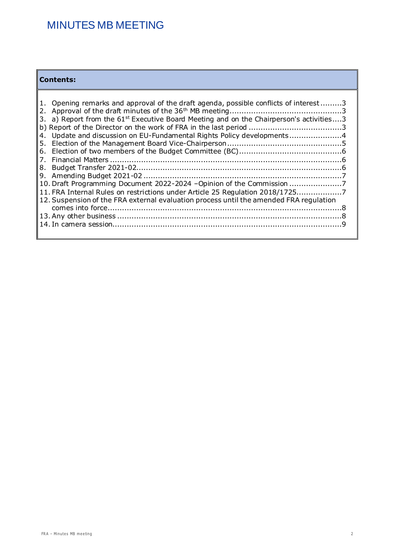### **Contents:**

| 1. Opening remarks and approval of the draft agenda, possible conflicts of interest3<br>3. a) Report from the $61^{st}$ Executive Board Meeting and on the Chairperson's activities3<br>4. Update and discussion on EU-Fundamental Rights Policy developments4 |
|----------------------------------------------------------------------------------------------------------------------------------------------------------------------------------------------------------------------------------------------------------------|
| 7.                                                                                                                                                                                                                                                             |
|                                                                                                                                                                                                                                                                |
|                                                                                                                                                                                                                                                                |
| 10. Draft Programming Document 2022-2024 -Opinion of the Commission                                                                                                                                                                                            |
| 11. FRA Internal Rules on restrictions under Article 25 Regulation 2018/17257                                                                                                                                                                                  |
| 12. Suspension of the FRA external evaluation process until the amended FRA regulation                                                                                                                                                                         |
|                                                                                                                                                                                                                                                                |
|                                                                                                                                                                                                                                                                |
|                                                                                                                                                                                                                                                                |
|                                                                                                                                                                                                                                                                |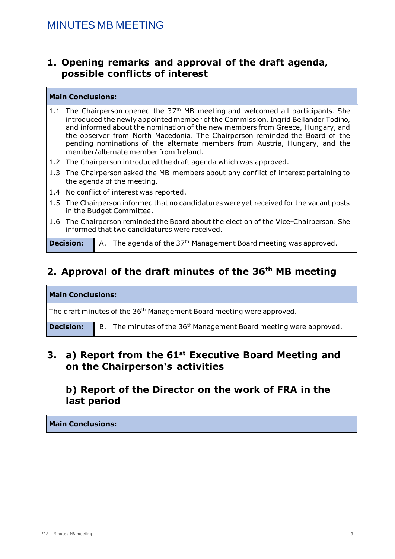### <span id="page-2-0"></span>**1. Opening remarks and approval of the draft agenda, possible conflicts of interest**

#### **Main Conclusions:**

- 1.1 The Chairperson opened the  $37<sup>th</sup>$  MB meeting and welcomed all participants. She introduced the newly appointed member of the Commission, Ingrid Bellander Todino, and informed about the nomination of the new members from Greece, Hungary, and the observer from North Macedonia. The Chairperson reminded the Board of the pending nominations of the alternate members from Austria, Hungary, and the member/alternate member from Ireland.
- 1.2 The Chairperson introduced the draft agenda which was approved.
- 1.3 The Chairperson asked the MB members about any conflict of interest pertaining to the agenda of the meeting.
- 1.4 No conflict of interest was reported.
- 1.5 The Chairperson informed that no candidatures were yet received for the vacant posts in the Budget Committee.
- 1.6 The Chairperson reminded the Board about the election of the Vice-Chairperson. She informed that two candidatures were received.

**Decision:** A. The agenda of the 37<sup>th</sup> Management Board meeting was approved.

# <span id="page-2-1"></span>**2. Approval of the draft minutes of the 36th MB meeting**

| <b>Main Conclusions:</b>                                                          |                                                                                |  |  |
|-----------------------------------------------------------------------------------|--------------------------------------------------------------------------------|--|--|
| The draft minutes of the 36 <sup>th</sup> Management Board meeting were approved. |                                                                                |  |  |
| <b>Decision:</b>                                                                  | B. The minutes of the 36 <sup>th</sup> Management Board meeting were approved. |  |  |

### <span id="page-2-2"></span>**3. a) Report from the 61st Executive Board Meeting and on the Chairperson's activities**

### <span id="page-2-3"></span>**b) Report of the Director on the work of FRA in the last period**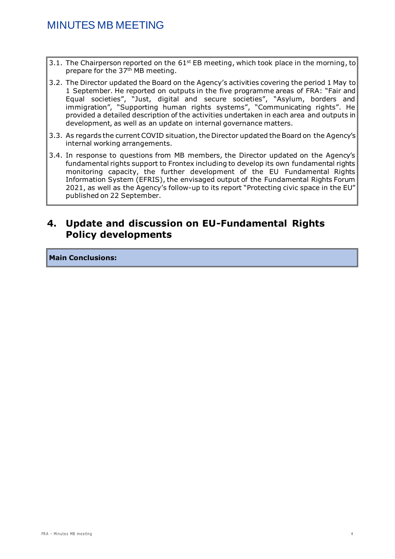- 3.1. The Chairperson reported on the  $61^{st}$  EB meeting, which took place in the morning, to prepare for the 37<sup>th</sup> MB meeting.
- 3.2. The Director updated the Board on the Agency's activities covering the period 1 May to 1 September. He reported on outputs in the five programme areas of FRA: "Fair and Equal societies", "Just, digital and secure societies", "Asylum, borders and immigration", "Supporting human rights systems", "Communicating rights". He provided a detailed description of the activities undertaken in each area and outputs in development, as well as an update on internal governance matters.
- 3.3. As regards the current COVID situation, the Director updated the Board on the Agency's internal working arrangements.
- 3.4. In response to questions from MB members, the Director updated on the Agency's fundamental rights support to Frontex including to develop its own fundamental rights monitoring capacity, the further development of the EU Fundamental Rights Information System (EFRIS), the envisaged output of the Fundamental Rights Forum 2021, as well as the Agency's follow-up to its report "Protecting civic space in the EU" published on 22 September.

### <span id="page-3-0"></span>**4. Update and discussion on EU-Fundamental Rights Policy developments**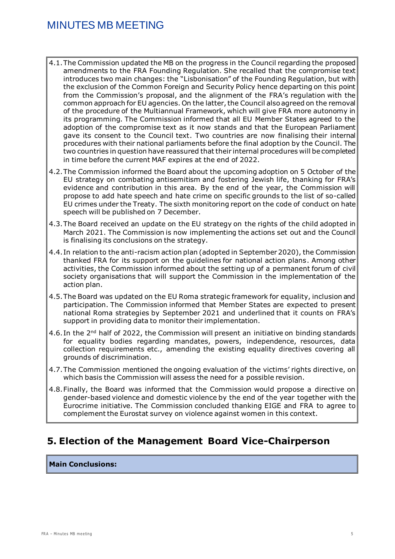- 4.1.The Commission updated the MB on the progress in the Council regarding the proposed amendments to the FRA Founding Regulation. She recalled that the compromise text introduces two main changes: the "Lisbonisation" of the Founding Regulation, but with the exclusion of the Common Foreign and Security Policy hence departing on this point from the Commission's proposal, and the alignment of the FRA's regulation with the common approach for EU agencies. On the latter, the Council also agreed on the removal of the procedure of the Multiannual Framework, which will give FRA more autonomy in its programming. The Commission informed that all EU Member States agreed to the adoption of the compromise text as it now stands and that the European Parliament gave its consent to the Council text. Two countries are now finalising their internal procedures with their national parliaments before the final adoption by the Council. The two countries in question have reassured that their internal procedures will be completed in time before the current MAF expires at the end of 2022.
- 4.2.The Commission informed the Board about the upcoming adoption on 5 October of the EU strategy on combating antisemitism and fostering Jewish life, thanking for FRA's evidence and contribution in this area. By the end of the year, the Commission will propose to add hate speech and hate crime on specific grounds to the list of so-called EU crimes under the Treaty. The sixth monitoring report on the code of conduct on hate speech will be published on 7 December.
- 4.3.The Board received an update on the EU strategy on the rights of the child adopted in March 2021. The Commission is now implementing the actions set out and the Council is finalising its conclusions on the strategy.
- 4.4. In relation to the anti-racism action plan (adopted in September 2020), the Commission thanked FRA for its support on the guidelines for national action plans. Among other activities, the Commission informed about the setting up of a permanent forum of civil society organisations that will support the Commission in the implementation of the action plan.
- 4.5.The Board was updated on the EU Roma strategic framework for equality, inclusion and participation. The Commission informed that Member States are expected to present national Roma strategies by September 2021 and underlined that it counts on FRA's support in providing data to monitor their implementation.
- 4.6. In the  $2<sup>nd</sup>$  half of 2022, the Commission will present an initiative on binding standards for equality bodies regarding mandates, powers, independence, resources, data collection requirements etc., amending the existing equality directives covering all grounds of discrimination.
- 4.7.The Commission mentioned the ongoing evaluation of the victims' rights directive, on which basis the Commission will assess the need for a possible revision.
- 4.8.Finally, the Board was informed that the Commission would propose a directive on gender-based violence and domestic violence by the end of the year together with the Eurocrime initiative. The Commission concluded thanking EIGE and FRA to agree to complement the Eurostat survey on violence against women in this context.

## <span id="page-4-0"></span>**5. Election of the Management Board Vice-Chairperson**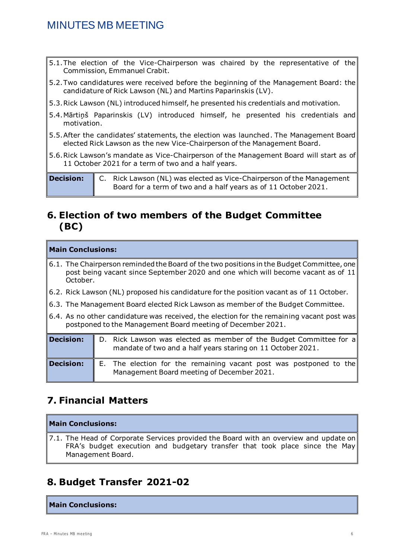- 5.1.The election of the Vice-Chairperson was chaired by the representative of the Commission, Emmanuel Crabit.
- 5.2.Two candidatures were received before the beginning of the Management Board: the candidature of Rick Lawson (NL) and Martins Paparinskis (LV).
- 5.3.Rick Lawson (NL) introduced himself, he presented his credentials and motivation.
- 5.4.Mārtiņš Paparinskis (LV) introduced himself, he presented his credentials and motivation.
- 5.5.After the candidates' statements, the election was launched. The Management Board elected Rick Lawson as the new Vice-Chairperson of the Management Board.
- 5.6.Rick Lawson's mandate as Vice-Chairperson of the Management Board will start as of 11 October 2021 for a term of two and a half years.

**Decision:** C. Rick Lawson (NL) was elected as Vice-Chairperson of the Management Board for a term of two and a half years as of 11 October 2021.

### <span id="page-5-0"></span>**6. Election of two members of the Budget Committee (BC)**

#### **Main Conclusions:**

- 6.1. The Chairperson reminded the Board of the two positions in the Budget Committee, one post being vacant since September 2020 and one which will become vacant as of 11 October.
- 6.2. Rick Lawson (NL) proposed his candidature for the position vacant as of 11 October.
- 6.3. The Management Board elected Rick Lawson as member of the Budget Committee.
- 6.4. As no other candidature was received, the election for the remaining vacant post was postponed to the Management Board meeting of December 2021.

| <b>Decision:</b> | D. Rick Lawson was elected as member of the Budget Committee for a<br>mandate of two and a half years staring on 11 October 2021. |  |
|------------------|-----------------------------------------------------------------------------------------------------------------------------------|--|
| <b>Decision:</b> | E. The election for the remaining vacant post was postponed to the<br>Management Board meeting of December 2021.                  |  |

## <span id="page-5-1"></span>**7. Financial Matters**

#### **Main Conclusions:**

7.1. The Head of Corporate Services provided the Board with an overview and update on FRA's budget execution and budgetary transfer that took place since the May Management Board.

## <span id="page-5-2"></span>**8. Budget Transfer 2021-02**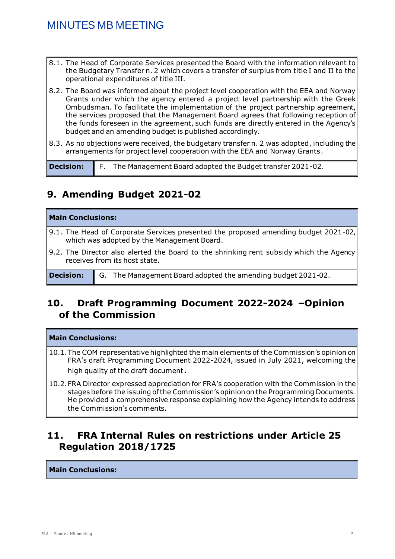- 8.1. The Head of Corporate Services presented the Board with the information relevant to the Budgetary Transfer n. 2 which covers a transfer of surplus from title I and II to the operational expenditures of title III.
- 8.2. The Board was informed about the project level cooperation with the EEA and Norway Grants under which the agency entered a project level partnership with the Greek Ombudsman. To facilitate the implementation of the project partnership agreement, the services proposed that the Management Board agrees that following reception of the funds foreseen in the agreement, such funds are directly entered in the Agency's budget and an amending budget is published accordingly.
- 8.3. As no objections were received, the budgetary transfer n. 2 was adopted, including the arrangements for project level cooperation with the EEA and Norway Grants.

**Decision:** F. The Management Board adopted the Budget transfer 2021-02.

## <span id="page-6-0"></span>**9. Amending Budget 2021-02**

| <b>Main Conclusions:</b> |                                                                                                                                               |  |
|--------------------------|-----------------------------------------------------------------------------------------------------------------------------------------------|--|
|                          | $\parallel$ 9.1. The Head of Corporate Services presented the proposed amending budget 2021-02,<br>which was adopted by the Management Board. |  |
|                          | 9.2. The Director also alerted the Board to the shrinking rent subsidy which the Agency<br>receives from its host state.                      |  |

**Decision:** G. The Management Board adopted the amending budget 2021-02.

### <span id="page-6-1"></span>**10. Draft Programming Document 2022-2024 –Opinion of the Commission**

#### **Main Conclusions:**

- 10.1.The COM representative highlighted the main elements of the Commission's opinion on FRA's draft Programming Document 2022-2024, issued in July 2021, welcoming the high quality of the draft document.
- 10.2.FRA Director expressed appreciation for FRA's cooperation with the Commission in the stages before the issuing of the Commission's opinion on the Programming Documents. He provided a comprehensive response explaining how the Agency intends to address the Commission's comments.

## <span id="page-6-2"></span>**11. FRA Internal Rules on restrictions under Article 25 Regulation 2018/1725**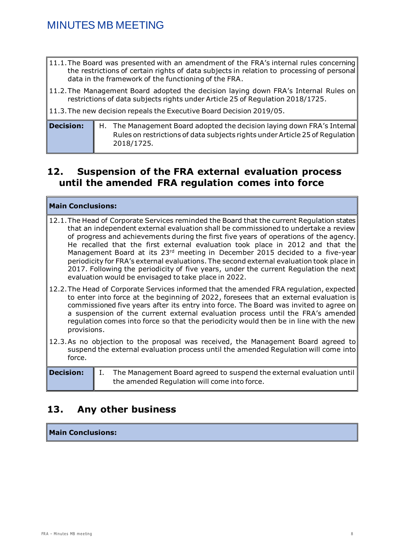- 11.1.The Board was presented with an amendment of the FRA's internal rules concerning the restrictions of certain rights of data subjects in relation to processing of personal data in the framework of the functioning of the FRA.
- 11.2.The Management Board adopted the decision laying down FRA's Internal Rules on restrictions of data subjects rights under Article 25 of Regulation 2018/1725.
- 11.3.The new decision repeals the Executive Board Decision 2019/05.

| $\,$ Decision: | $\parallel$ H. The Management Board adopted the decision laying down FRA's Internal |  |
|----------------|-------------------------------------------------------------------------------------|--|
|                | Rules on restrictions of data subjects rights under Article 25 of Regulation        |  |
|                | 2018/1725.                                                                          |  |

### <span id="page-7-0"></span>**12. Suspension of the FRA external evaluation process until the amended FRA regulation comes into force**

#### **Main Conclusions:**

- 12.1.The Head of Corporate Services reminded the Board that the current Regulation states that an independent external evaluation shall be commissioned to undertake a review of progress and achievements during the first five years of operations of the agency. He recalled that the first external evaluation took place in 2012 and that the Management Board at its 23<sup>rd</sup> meeting in December 2015 decided to a five-year periodicity for FRA's external evaluations. The second external evaluation took place in 2017. Following the periodicity of five years, under the current Regulation the next evaluation would be envisaged to take place in 2022.
- 12.2.The Head of Corporate Services informed that the amended FRA regulation, expected to enter into force at the beginning of 2022, foresees that an external evaluation is commissioned five years after its entry into force. The Board was invited to agree on a suspension of the current external evaluation process until the FRA's amended regulation comes into force so that the periodicity would then be in line with the new provisions.
- 12.3.As no objection to the proposal was received, the Management Board agreed to suspend the external evaluation process until the amended Regulation will come into force.

**Decision:** | I. The Management Board agreed to suspend the external evaluation until the amended Regulation will come into force.

### <span id="page-7-1"></span>**13. Any other business**